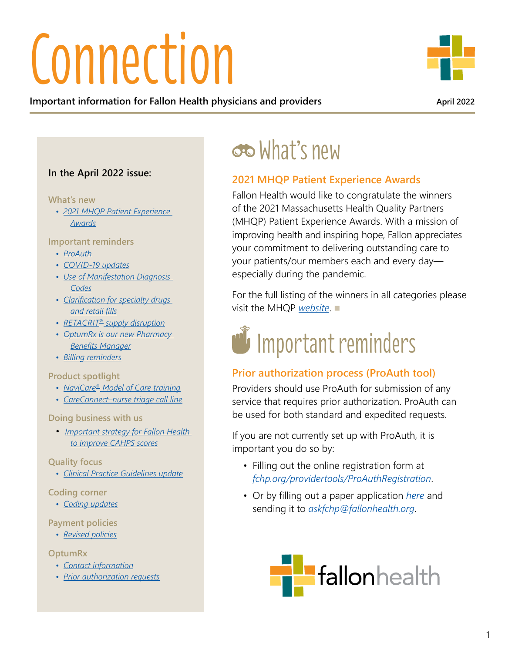# **Connection**

**Important information for Fallon Health physicians and providers April 2022 April 2022** 

#### **In the April 2022 issue:**

#### **What's new**

*• 2021 MHQP Patient Experience Awards*

#### **Important reminders**

- *ProAuth*
- *[COVID-19 updates](#page-1-0)*
- *[Use of Manifestation Diagnosis](#page-2-0)  [Codes](#page-2-0)*
- *[Clarification for specialty drugs](#page-3-0)  [and retail fills](#page-3-0)*
- *RETACRIT® [supply disruption](#page-3-0)*
- *[OptumRx is our new Pharmacy](#page-3-0)  [Benefits Manager](#page-3-0)*
- *[Billing reminders](#page-4-0)*

#### **Product spotlight**

- *[NaviCare® Model of Care training](#page-5-0)*
- *[CareConnect–nurse triage call line](#page-7-0)*

**Doing business with us**

• *[Important strategy for Fallon Health](#page-7-0)  [to improve CAHPS scores](#page-7-0)*

**Quality focus**

*• [Clinical Practice Guidelines update](#page-8-0)*

#### **Coding corner**

*• [Coding updates](#page-9-0)*

#### **Payment policies**

*• [Revised policies](#page-14-0)*

#### **OptumRx**

- *[Contact information](#page-15-0)*
- *[Prior authorization requests](#page-15-0)*

### What's new

#### **2021 MHQP Patient Experience Awards**

Fallon Health would like to congratulate the winners of the 2021 Massachusetts Health Quality Partners (MHQP) Patient Experience Awards. With a mission of improving health and inspiring hope, Fallon appreciates your commitment to delivering outstanding care to your patients/our members each and every day especially during the pandemic.

For the full listing of the winners in all categories please visit the MHOP *[website](https://www.mhqp.org/2022/01/23/mhqp-announces-winners-of-2021-patient-experience-awards/)*.



#### **Prior authorization process (ProAuth tool)**

Providers should use ProAuth for submission of any service that requires prior authorization. ProAuth can be used for both standard and expedited requests.

If you are not currently set up with ProAuth, it is important you do so by:

- Filling out the online registration form at *[fchp.org/providertools/ProAuthRegistration](https://fchp.org/Providertools/ProAuthRegistration/ProAuthRegContacts/Create)*.
- Or by filling out a paper application *[here](http://fchp.org/~/media/Files/ProviderPDFs/Forms/ProAuthForm.ashx?la=en)* and sending it to *[askfchp@fallonhealth.org](mailto:askfchp%40fallonhealth.org?subject=)*.

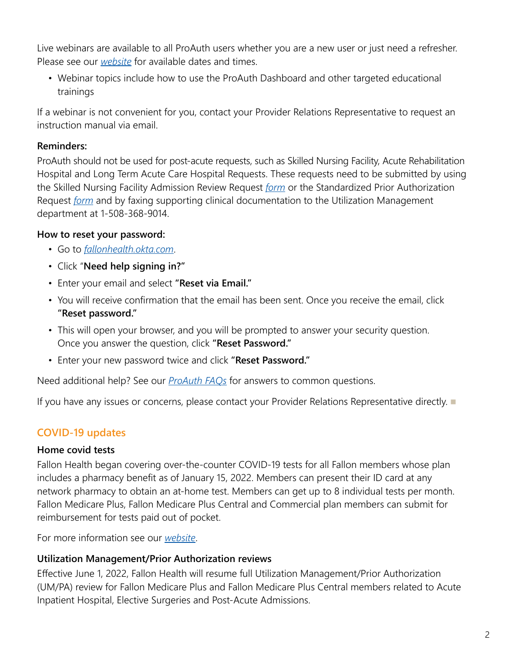<span id="page-1-0"></span>Live webinars are available to all ProAuth users whether you are a new user or just need a refresher. Please see our *[website](https://www.fchp.org/providers/announcements.aspx)* for available dates and times.

• Webinar topics include how to use the ProAuth Dashboard and other targeted educational trainings

If a webinar is not convenient for you, contact your Provider Relations Representative to request an instruction manual via email.

#### **Reminders:**

ProAuth should not be used for post-acute requests, such as Skilled Nursing Facility, Acute Rehabilitation Hospital and Long Term Acute Care Hospital Requests. These requests need to be submitted by using the Skilled Nursing Facility Admission Review Request *[form](https://www.fchp.org/~/media/Files/ProviderPDFs/Forms/SNFAcuteRehabAdmReview.ashx?la=en)* or the Standardized Prior Authorization Request *[form](https://www.fchp.org/~/media/Files/ProviderPDFs/Forms/SNFAcuteRehabAdmReview.ashx?la=en)* and by faxing supporting clinical documentation to the Utilization Management department at 1-508-368-9014.

#### **How to reset your password:**

- Go to *[fallonhealth.okta.com](https://fallonhealth.okta.com/)*.
- Click "**Need help signing in?"**
- Enter your email and select **"Reset via Email."**
- You will receive confirmation that the email has been sent. Once you receive the email, click **"Reset password."**
- This will open your browser, and you will be prompted to answer your security question. Once you answer the question, click **"Reset Password."**
- Enter your new password twice and click **"Reset Password."**

Need additional help? See our *[ProAuth FAQs](https://www.fchp.org/en/providers/resources/proauth-help.aspx)* for answers to common questions.

If you have any issues or concerns, please contact your Provider Relations Representative directly.

#### **COVID-19 updates**

#### **Home covid tests**

Fallon Health began covering over-the-counter COVID-19 tests for all Fallon members whose plan includes a pharmacy benefit as of January 15, 2022. Members can present their ID card at any network pharmacy to obtain an at-home test. Members can get up to 8 individual tests per month. Fallon Medicare Plus, Fallon Medicare Plus Central and Commercial plan members can submit for reimbursement for tests paid out of pocket.

For more information see our *[website](https://www.fchp.org/covid-tests.aspx)*.

#### **Utilization Management/Prior Authorization reviews**

Effective June 1, 2022, Fallon Health will resume full Utilization Management/Prior Authorization (UM/PA) review for Fallon Medicare Plus and Fallon Medicare Plus Central members related to Acute Inpatient Hospital, Elective Surgeries and Post-Acute Admissions.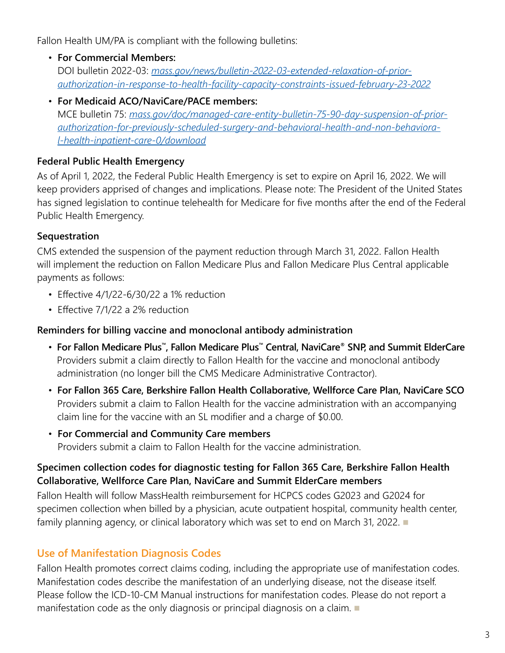<span id="page-2-0"></span>Fallon Health UM/PA is compliant with the following bulletins:

- **For Commercial Members:**  DOI bulletin 2022-03: *[mass.gov/news/bulletin-2022-03-extended-relaxation-of-prior](https://www.mass.gov/news/bulletin-2022-03-extended-relaxation-of-prior-authorization-in-response-to-health-facility-capacity-constraints-issued-february-23-2022)[authorization-in-response-to-health-facility-capacity-constraints-issued-february-23-2022](https://www.mass.gov/news/bulletin-2022-03-extended-relaxation-of-prior-authorization-in-response-to-health-facility-capacity-constraints-issued-february-23-2022)*
- **For Medicaid ACO/NaviCare/PACE members:**  MCE bulletin 75: *[mass.gov/doc/managed-care-entity-bulletin-75-90-day-suspension-of-prior](https://www.mass.gov/doc/managed-care-entity-bulletin-75-90-day-suspension-of-prior-authorization-for-previously-scheduled-surgery-and-behavioral-health-and-non-behavioral-health-inpatient-care-0/download)[authorization-for-previously-scheduled-surgery-and-behavioral-health-and-non-behaviora](https://www.mass.gov/doc/managed-care-entity-bulletin-75-90-day-suspension-of-prior-authorization-for-previously-scheduled-surgery-and-behavioral-health-and-non-behavioral-health-inpatient-care-0/download)[l-health-inpatient-care-0/download](https://www.mass.gov/doc/managed-care-entity-bulletin-75-90-day-suspension-of-prior-authorization-for-previously-scheduled-surgery-and-behavioral-health-and-non-behavioral-health-inpatient-care-0/download)*

#### **Federal Public Health Emergency**

As of April 1, 2022, the Federal Public Health Emergency is set to expire on April 16, 2022. We will keep providers apprised of changes and implications. Please note: The President of the United States has signed legislation to continue telehealth for Medicare for five months after the end of the Federal Public Health Emergency.

#### **Sequestration**

CMS extended the suspension of the payment reduction through March 31, 2022. Fallon Health will implement the reduction on Fallon Medicare Plus and Fallon Medicare Plus Central applicable payments as follows:

- Effective 4/1/22-6/30/22 a 1% reduction
- Effective 7/1/22 a 2% reduction

#### **Reminders for billing vaccine and monoclonal antibody administration**

- **For Fallon Medicare Plus™, Fallon Medicare Plus™ Central, NaviCare® SNP, and Summit ElderCare** Providers submit a claim directly to Fallon Health for the vaccine and monoclonal antibody administration (no longer bill the CMS Medicare Administrative Contractor).
- **For Fallon 365 Care, Berkshire Fallon Health Collaborative, Wellforce Care Plan, NaviCare SCO** Providers submit a claim to Fallon Health for the vaccine administration with an accompanying claim line for the vaccine with an SL modifier and a charge of \$0.00.
- **For Commercial and Community Care members** Providers submit a claim to Fallon Health for the vaccine administration.

#### **Specimen collection codes for diagnostic testing for Fallon 365 Care, Berkshire Fallon Health Collaborative, Wellforce Care Plan, NaviCare and Summit ElderCare members**

Fallon Health will follow MassHealth reimbursement for HCPCS codes G2023 and G2024 for specimen collection when billed by a physician, acute outpatient hospital, community health center, family planning agency, or clinical laboratory which was set to end on March 31, 2022.

#### **Use of Manifestation Diagnosis Codes**

Fallon Health promotes correct claims coding, including the appropriate use of manifestation codes. Manifestation codes describe the manifestation of an underlying disease, not the disease itself. Please follow the ICD-10-CM Manual instructions for manifestation codes. Please do not report a manifestation code as the only diagnosis or principal diagnosis on a claim.  $\blacksquare$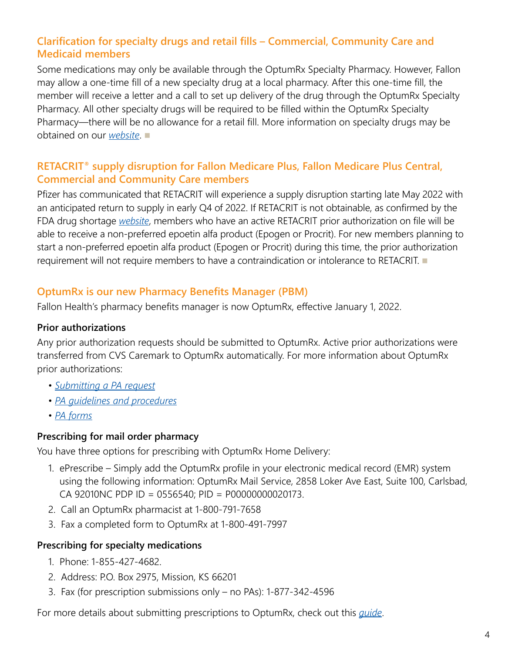#### <span id="page-3-0"></span>**Clarification for specialty drugs and retail fills – Commercial, Community Care and Medicaid members**

Some medications may only be available through the OptumRx Specialty Pharmacy. However, Fallon may allow a one-time fill of a new specialty drug at a local pharmacy. After this one-time fill, the member will receive a letter and a call to set up delivery of the drug through the OptumRx Specialty Pharmacy. All other specialty drugs will be required to be filled within the OptumRx Specialty Pharmacy—there will be no allowance for a retail fill. More information on specialty drugs may be obtained on our **[website](https://www.fchp.org/providers/pharmacy/specialty-pharmacy.aspx)**.

#### **RETACRIT® supply disruption for Fallon Medicare Plus, Fallon Medicare Plus Central, Commercial and Community Care members**

Pfizer has communicated that RETACRIT will experience a supply disruption starting late May 2022 with an anticipated return to supply in early Q4 of 2022. If RETACRIT is not obtainable, as confirmed by the FDA drug shortage *[website](https://www.accessdata.fda.gov/scripts/drugshortages/default.cfm)*, members who have an active RETACRIT prior authorization on file will be able to receive a non-preferred epoetin alfa product (Epogen or Procrit). For new members planning to start a non-preferred epoetin alfa product (Epogen or Procrit) during this time, the prior authorization requirement will not require members to have a contraindication or intolerance to RETACRIT.

#### **OptumRx is our new Pharmacy Benefits Manager (PBM)**

Fallon Health's pharmacy benefits manager is now OptumRx, effective January 1, 2022.

#### **Prior authorizations**

Any prior authorization requests should be submitted to OptumRx. Active prior authorizations were transferred from CVS Caremark to OptumRx automatically. For more information about OptumRx prior authorizations:

- *[Submitting a PA request](https://professionals.optumrx.com/prior-authorization.html)*
- *[PA guidelines and procedures](https://professionals.optumrx.com/resources/manuals-guides/pa-guidelines-procedures.html)*
- *[PA forms](https://professionals.optumrx.com/prior-authorization/prior-authorization-lob.html)*

#### **Prescribing for mail order pharmacy**

You have three options for prescribing with OptumRx Home Delivery:

- 1. ePrescribe Simply add the OptumRx profile in your electronic medical record (EMR) system using the following information: OptumRx Mail Service, 2858 Loker Ave East, Suite 100, Carlsbad, CA 92010NC PDP ID = 0556540; PID = P00000000020173.
- 2. Call an OptumRx pharmacist at 1-800-791-7658
- 3. Fax a completed form to OptumRx at 1-800-491-7997

#### **Prescribing for specialty medications**

- 1. Phone: 1-855-427-4682.
- 2. Address: P.O. Box 2975, Mission, KS 66201
- 3. Fax (for prescription submissions only no PAs): 1-877-342-4596

For more details about submitting prescriptions to OptumRx, check out this *[guide](https://professionals.optumrx.com/resources/manuals-guides/successful-prescription-submission.html)*.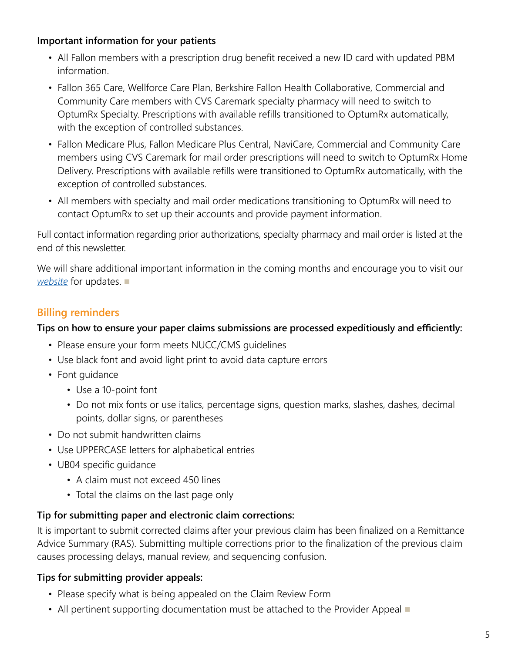#### <span id="page-4-0"></span>**Important information for your patients**

- All Fallon members with a prescription drug benefit received a new ID card with updated PBM information.
- Fallon 365 Care, Wellforce Care Plan, Berkshire Fallon Health Collaborative, Commercial and Community Care members with CVS Caremark specialty pharmacy will need to switch to OptumRx Specialty. Prescriptions with available refills transitioned to OptumRx automatically, with the exception of controlled substances.
- Fallon Medicare Plus, Fallon Medicare Plus Central, NaviCare, Commercial and Community Care members using CVS Caremark for mail order prescriptions will need to switch to OptumRx Home Delivery. Prescriptions with available refills were transitioned to OptumRx automatically, with the exception of controlled substances.
- All members with specialty and mail order medications transitioning to OptumRx will need to contact OptumRx to set up their accounts and provide payment information.

Full contact information regarding prior authorizations, specialty pharmacy and mail order is listed at the end of this newsletter.

We will share additional important information in the coming months and encourage you to visit our *[website](https://www.fchp.org/en/providers/pharmacy.aspx)* for updates.

#### **Billing reminders**

#### **Tips on how to ensure your paper claims submissions are processed expeditiously and efficiently:**

- Please ensure your form meets NUCC/CMS guidelines
- Use black font and avoid light print to avoid data capture errors
- Font guidance
	- Use a 10-point font
	- Do not mix fonts or use italics, percentage signs, question marks, slashes, dashes, decimal points, dollar signs, or parentheses
- Do not submit handwritten claims
- Use UPPERCASE letters for alphabetical entries
- UB04 specific guidance
	- A claim must not exceed 450 lines
	- Total the claims on the last page only

#### **Tip for submitting paper and electronic claim corrections:**

It is important to submit corrected claims after your previous claim has been finalized on a Remittance Advice Summary (RAS). Submitting multiple corrections prior to the finalization of the previous claim causes processing delays, manual review, and sequencing confusion.

#### **Tips for submitting provider appeals:**

- Please specify what is being appealed on the Claim Review Form
- All pertinent supporting documentation must be attached to the Provider Appeal  $\blacksquare$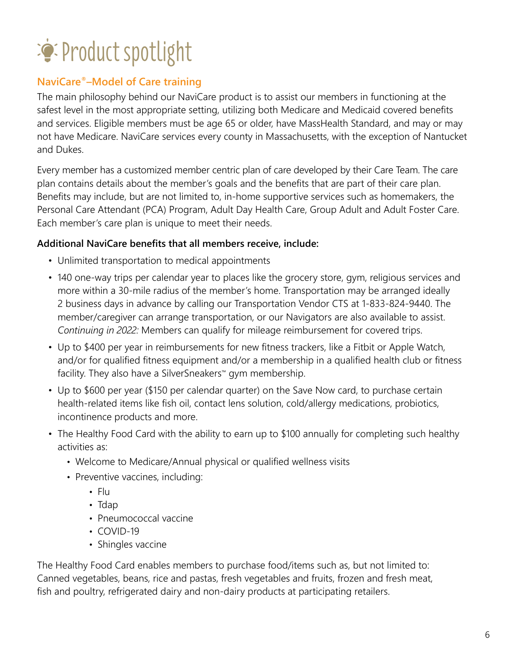## <span id="page-5-0"></span>Product spotlight

#### **NaviCare®–Model of Care training**

The main philosophy behind our NaviCare product is to assist our members in functioning at the safest level in the most appropriate setting, utilizing both Medicare and Medicaid covered benefits and services. Eligible members must be age 65 or older, have MassHealth Standard, and may or may not have Medicare. NaviCare services every county in Massachusetts, with the exception of Nantucket and Dukes.

Every member has a customized member centric plan of care developed by their Care Team. The care plan contains details about the member's goals and the benefits that are part of their care plan. Benefits may include, but are not limited to, in-home supportive services such as homemakers, the Personal Care Attendant (PCA) Program, Adult Day Health Care, Group Adult and Adult Foster Care. Each member's care plan is unique to meet their needs.

#### **Additional NaviCare benefits that all members receive, include:**

- Unlimited transportation to medical appointments
- 140 one-way trips per calendar year to places like the grocery store, gym, religious services and more within a 30-mile radius of the member's home. Transportation may be arranged ideally 2 business days in advance by calling our Transportation Vendor CTS at 1-833-824-9440. The member/caregiver can arrange transportation, or our Navigators are also available to assist. *Continuing in 2022:* Members can qualify for mileage reimbursement for covered trips.
- Up to \$400 per year in reimbursements for new fitness trackers, like a Fitbit or Apple Watch, and/or for qualified fitness equipment and/or a membership in a qualified health club or fitness facility. They also have a SilverSneakers™ gym membership.
- Up to \$600 per year (\$150 per calendar quarter) on the Save Now card, to purchase certain health-related items like fish oil, contact lens solution, cold/allergy medications, probiotics, incontinence products and more.
- The Healthy Food Card with the ability to earn up to \$100 annually for completing such healthy activities as:
	- Welcome to Medicare/Annual physical or qualified wellness visits
	- Preventive vaccines, including:
		- Flu
		- Tdap
		- Pneumococcal vaccine
		- COVID-19
		- Shingles vaccine

The Healthy Food Card enables members to purchase food/items such as, but not limited to: Canned vegetables, beans, rice and pastas, fresh vegetables and fruits, frozen and fresh meat, fish and poultry, refrigerated dairy and non-dairy products at participating retailers.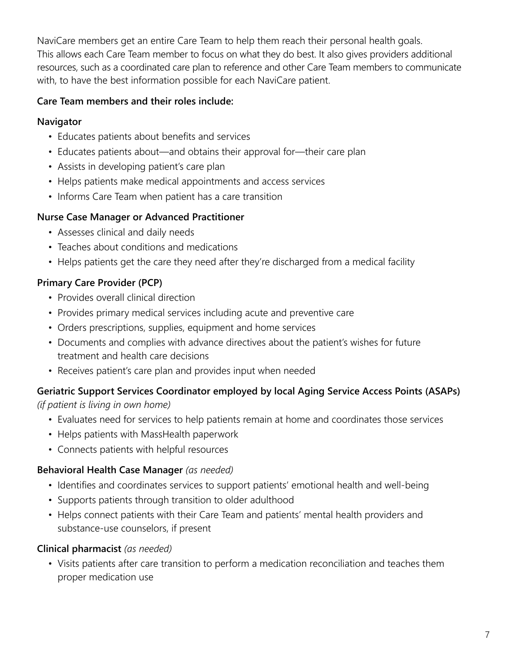NaviCare members get an entire Care Team to help them reach their personal health goals. This allows each Care Team member to focus on what they do best. It also gives providers additional resources, such as a coordinated care plan to reference and other Care Team members to communicate with, to have the best information possible for each NaviCare patient.

#### **Care Team members and their roles include:**

#### **Navigator**

- Educates patients about benefits and services
- Educates patients about—and obtains their approval for—their care plan
- Assists in developing patient's care plan
- Helps patients make medical appointments and access services
- Informs Care Team when patient has a care transition

#### **Nurse Case Manager or Advanced Practitioner**

- Assesses clinical and daily needs
- Teaches about conditions and medications
- Helps patients get the care they need after they're discharged from a medical facility

#### **Primary Care Provider (PCP)**

- Provides overall clinical direction
- Provides primary medical services including acute and preventive care
- Orders prescriptions, supplies, equipment and home services
- Documents and complies with advance directives about the patient's wishes for future treatment and health care decisions
- Receives patient's care plan and provides input when needed

#### **Geriatric Support Services Coordinator employed by local Aging Service Access Points (ASAPs)**

*(if patient is living in own home)*

- Evaluates need for services to help patients remain at home and coordinates those services
- Helps patients with MassHealth paperwork
- Connects patients with helpful resources

#### **Behavioral Health Case Manager** *(as needed)*

- Identifies and coordinates services to support patients' emotional health and well-being
- Supports patients through transition to older adulthood
- Helps connect patients with their Care Team and patients' mental health providers and substance-use counselors, if present

#### **Clinical pharmacist** *(as needed)*

• Visits patients after care transition to perform a medication reconciliation and teaches them proper medication use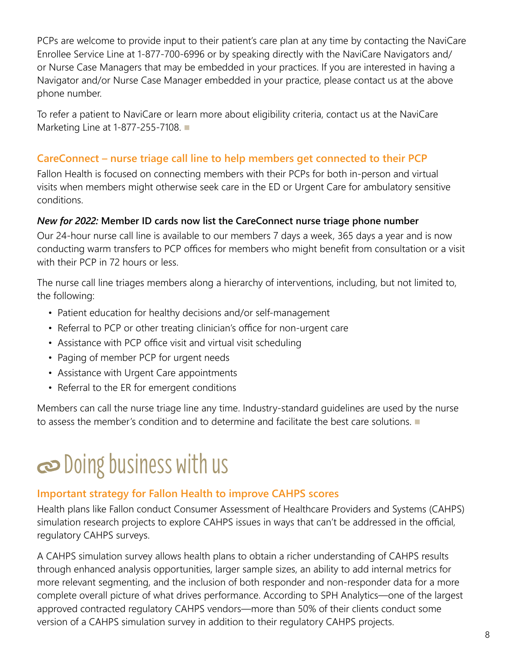<span id="page-7-0"></span>PCPs are welcome to provide input to their patient's care plan at any time by contacting the NaviCare Enrollee Service Line at 1-877-700-6996 or by speaking directly with the NaviCare Navigators and/ or Nurse Case Managers that may be embedded in your practices. If you are interested in having a Navigator and/or Nurse Case Manager embedded in your practice, please contact us at the above phone number.

To refer a patient to NaviCare or learn more about eligibility criteria, contact us at the NaviCare Marketing Line at 1-877-255-7108.

#### **CareConnect – nurse triage call line to help members get connected to their PCP**

Fallon Health is focused on connecting members with their PCPs for both in-person and virtual visits when members might otherwise seek care in the ED or Urgent Care for ambulatory sensitive conditions.

#### *New for 2022:* **Member ID cards now list the CareConnect nurse triage phone number**

Our 24-hour nurse call line is available to our members 7 days a week, 365 days a year and is now conducting warm transfers to PCP offices for members who might benefit from consultation or a visit with their PCP in 72 hours or less.

The nurse call line triages members along a hierarchy of interventions, including, but not limited to, the following:

- Patient education for healthy decisions and/or self-management
- Referral to PCP or other treating clinician's office for non-urgent care
- Assistance with PCP office visit and virtual visit scheduling
- Paging of member PCP for urgent needs
- Assistance with Urgent Care appointments
- Referral to the ER for emergent conditions

Members can call the nurse triage line any time. Industry-standard guidelines are used by the nurse to assess the member's condition and to determine and facilitate the best care solutions.  $\blacksquare$ 

### Doing business with us

#### **Important strategy for Fallon Health to improve CAHPS scores**

Health plans like Fallon conduct Consumer Assessment of Healthcare Providers and Systems (CAHPS) simulation research projects to explore CAHPS issues in ways that can't be addressed in the official, regulatory CAHPS surveys.

A CAHPS simulation survey allows health plans to obtain a richer understanding of CAHPS results through enhanced analysis opportunities, larger sample sizes, an ability to add internal metrics for more relevant segmenting, and the inclusion of both responder and non-responder data for a more complete overall picture of what drives performance. According to SPH Analytics—one of the largest approved contracted regulatory CAHPS vendors—more than 50% of their clients conduct some version of a CAHPS simulation survey in addition to their regulatory CAHPS projects.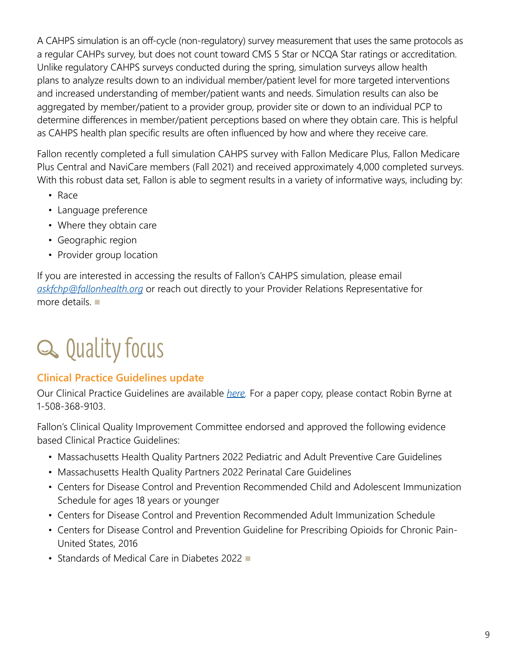<span id="page-8-0"></span>A CAHPS simulation is an off-cycle (non-regulatory) survey measurement that uses the same protocols as a regular CAHPs survey, but does not count toward CMS 5 Star or NCQA Star ratings or accreditation. Unlike regulatory CAHPS surveys conducted during the spring, simulation surveys allow health plans to analyze results down to an individual member/patient level for more targeted interventions and increased understanding of member/patient wants and needs. Simulation results can also be aggregated by member/patient to a provider group, provider site or down to an individual PCP to determine differences in member/patient perceptions based on where they obtain care. This is helpful as CAHPS health plan specific results are often influenced by how and where they receive care.

Fallon recently completed a full simulation CAHPS survey with Fallon Medicare Plus, Fallon Medicare Plus Central and NaviCare members (Fall 2021) and received approximately 4,000 completed surveys. With this robust data set, Fallon is able to segment results in a variety of informative ways, including by:

- Race
- Language preference
- Where they obtain care
- Geographic region
- Provider group location

If you are interested in accessing the results of Fallon's CAHPS simulation, please email *[askfchp@fallonhealth.org](mailto:askfchp%40fallonhealth.org?subject=)* or reach out directly to your Provider Relations Representative for more details.  $\blacksquare$ 

### Q Quality focus

#### **Clinical Practice Guidelines update**

Our Clinical Practice Guidelines are available *[here](https://www.fchp.org/en/providers/criteria-policies-guidelines.aspx).* For a paper copy, please contact Robin Byrne at 1-508-368-9103.

Fallon's Clinical Quality Improvement Committee endorsed and approved the following evidence based Clinical Practice Guidelines:

- Massachusetts Health Quality Partners 2022 Pediatric and Adult Preventive Care Guidelines
- Massachusetts Health Quality Partners 2022 Perinatal Care Guidelines
- Centers for Disease Control and Prevention Recommended Child and Adolescent Immunization Schedule for ages 18 years or younger
- Centers for Disease Control and Prevention Recommended Adult Immunization Schedule
- Centers for Disease Control and Prevention Guideline for Prescribing Opioids for Chronic Pain-United States, 2016
- Standards of Medical Care in Diabetes 2022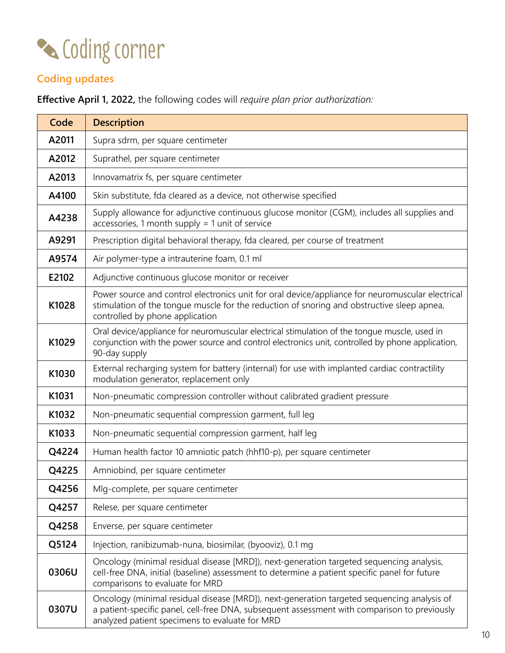<span id="page-9-0"></span>

### **Coding updates**

**Effective April 1, 2022,** the following codes will *require plan prior authorization:* 

| Code  | <b>Description</b>                                                                                                                                                                                                                           |  |  |
|-------|----------------------------------------------------------------------------------------------------------------------------------------------------------------------------------------------------------------------------------------------|--|--|
| A2011 | Supra sdrm, per square centimeter                                                                                                                                                                                                            |  |  |
| A2012 | Suprathel, per square centimeter                                                                                                                                                                                                             |  |  |
| A2013 | Innovamatrix fs, per square centimeter                                                                                                                                                                                                       |  |  |
| A4100 | Skin substitute, fda cleared as a device, not otherwise specified                                                                                                                                                                            |  |  |
| A4238 | Supply allowance for adjunctive continuous glucose monitor (CGM), includes all supplies and<br>accessories, 1 month supply $=$ 1 unit of service                                                                                             |  |  |
| A9291 | Prescription digital behavioral therapy, fda cleared, per course of treatment                                                                                                                                                                |  |  |
| A9574 | Air polymer-type a intrauterine foam, 0.1 ml                                                                                                                                                                                                 |  |  |
| E2102 | Adjunctive continuous glucose monitor or receiver                                                                                                                                                                                            |  |  |
| K1028 | Power source and control electronics unit for oral device/appliance for neuromuscular electrical<br>stimulation of the tongue muscle for the reduction of snoring and obstructive sleep apnea,<br>controlled by phone application            |  |  |
| K1029 | Oral device/appliance for neuromuscular electrical stimulation of the tongue muscle, used in<br>conjunction with the power source and control electronics unit, controlled by phone application,<br>90-day supply                            |  |  |
| K1030 | External recharging system for battery (internal) for use with implanted cardiac contractility<br>modulation generator, replacement only                                                                                                     |  |  |
| K1031 | Non-pneumatic compression controller without calibrated gradient pressure                                                                                                                                                                    |  |  |
| K1032 | Non-pneumatic sequential compression garment, full leg                                                                                                                                                                                       |  |  |
| K1033 | Non-pneumatic sequential compression garment, half leg                                                                                                                                                                                       |  |  |
| Q4224 | Human health factor 10 amniotic patch (hhf10-p), per square centimeter                                                                                                                                                                       |  |  |
| Q4225 | Amniobind, per square centimeter                                                                                                                                                                                                             |  |  |
| Q4256 | Mlg-complete, per square centimeter                                                                                                                                                                                                          |  |  |
| Q4257 | Relese, per square centimeter                                                                                                                                                                                                                |  |  |
| Q4258 | Enverse, per square centimeter                                                                                                                                                                                                               |  |  |
| Q5124 | Injection, ranibizumab-nuna, biosimilar, (byooviz), 0.1 mg                                                                                                                                                                                   |  |  |
| 0306U | Oncology (minimal residual disease [MRD]), next-generation targeted sequencing analysis,<br>cell-free DNA, initial (baseline) assessment to determine a patient specific panel for future<br>comparisons to evaluate for MRD                 |  |  |
| 0307U | Oncology (minimal residual disease [MRD]), next-generation targeted sequencing analysis of<br>a patient-specific panel, cell-free DNA, subsequent assessment with comparison to previously<br>analyzed patient specimens to evaluate for MRD |  |  |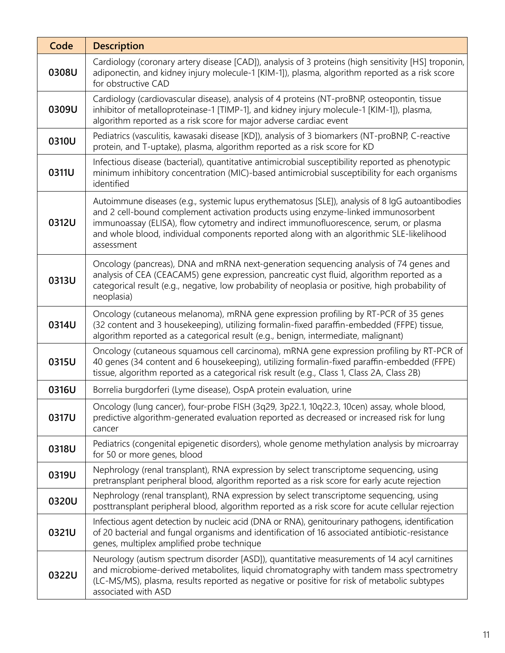| Code  | <b>Description</b>                                                                                                                                                                                                                                                                                                                                                                       |  |  |
|-------|------------------------------------------------------------------------------------------------------------------------------------------------------------------------------------------------------------------------------------------------------------------------------------------------------------------------------------------------------------------------------------------|--|--|
| 0308U | Cardiology (coronary artery disease [CAD]), analysis of 3 proteins (high sensitivity [HS] troponin,<br>adiponectin, and kidney injury molecule-1 [KIM-1]), plasma, algorithm reported as a risk score<br>for obstructive CAD                                                                                                                                                             |  |  |
| 0309U | Cardiology (cardiovascular disease), analysis of 4 proteins (NT-proBNP, osteopontin, tissue<br>inhibitor of metalloproteinase-1 [TIMP-1], and kidney injury molecule-1 [KIM-1]), plasma,<br>algorithm reported as a risk score for major adverse cardiac event                                                                                                                           |  |  |
| 0310U | Pediatrics (vasculitis, kawasaki disease [KD]), analysis of 3 biomarkers (NT-proBNP, C-reactive<br>protein, and T-uptake), plasma, algorithm reported as a risk score for KD                                                                                                                                                                                                             |  |  |
| 0311U | Infectious disease (bacterial), quantitative antimicrobial susceptibility reported as phenotypic<br>minimum inhibitory concentration (MIC)-based antimicrobial susceptibility for each organisms<br>identified                                                                                                                                                                           |  |  |
| 0312U | Autoimmune diseases (e.g., systemic lupus erythematosus [SLE]), analysis of 8 lgG autoantibodies<br>and 2 cell-bound complement activation products using enzyme-linked immunosorbent<br>immunoassay (ELISA), flow cytometry and indirect immunofluorescence, serum, or plasma<br>and whole blood, individual components reported along with an algorithmic SLE-likelihood<br>assessment |  |  |
| 0313U | Oncology (pancreas), DNA and mRNA next-generation sequencing analysis of 74 genes and<br>analysis of CEA (CEACAM5) gene expression, pancreatic cyst fluid, algorithm reported as a<br>categorical result (e.g., negative, low probability of neoplasia or positive, high probability of<br>neoplasia)                                                                                    |  |  |
| 0314U | Oncology (cutaneous melanoma), mRNA gene expression profiling by RT-PCR of 35 genes<br>(32 content and 3 housekeeping), utilizing formalin-fixed paraffin-embedded (FFPE) tissue,<br>algorithm reported as a categorical result (e.g., benign, intermediate, malignant)                                                                                                                  |  |  |
| 0315U | Oncology (cutaneous squamous cell carcinoma), mRNA gene expression profiling by RT-PCR of<br>40 genes (34 content and 6 housekeeping), utilizing formalin-fixed paraffin-embedded (FFPE)<br>tissue, algorithm reported as a categorical risk result (e.g., Class 1, Class 2A, Class 2B)                                                                                                  |  |  |
| 0316U | Borrelia burgdorferi (Lyme disease), OspA protein evaluation, urine                                                                                                                                                                                                                                                                                                                      |  |  |
| 0317U | Oncology (lung cancer), four-probe FISH (3q29, 3p22.1, 10q22.3, 10cen) assay, whole blood,<br>predictive algorithm-generated evaluation reported as decreased or increased risk for lung<br>cancer                                                                                                                                                                                       |  |  |
| 0318U | Pediatrics (congenital epigenetic disorders), whole genome methylation analysis by microarray<br>for 50 or more genes, blood                                                                                                                                                                                                                                                             |  |  |
| 0319U | Nephrology (renal transplant), RNA expression by select transcriptome sequencing, using<br>pretransplant peripheral blood, algorithm reported as a risk score for early acute rejection                                                                                                                                                                                                  |  |  |
| 0320U | Nephrology (renal transplant), RNA expression by select transcriptome sequencing, using<br>posttransplant peripheral blood, algorithm reported as a risk score for acute cellular rejection                                                                                                                                                                                              |  |  |
| 0321U | Infectious agent detection by nucleic acid (DNA or RNA), genitourinary pathogens, identification<br>of 20 bacterial and fungal organisms and identification of 16 associated antibiotic-resistance<br>genes, multiplex amplified probe technique                                                                                                                                         |  |  |
| 0322U | Neurology (autism spectrum disorder [ASD]), quantitative measurements of 14 acyl carnitines<br>and microbiome-derived metabolites, liquid chromatography with tandem mass spectrometry<br>(LC-MS/MS), plasma, results reported as negative or positive for risk of metabolic subtypes<br>associated with ASD                                                                             |  |  |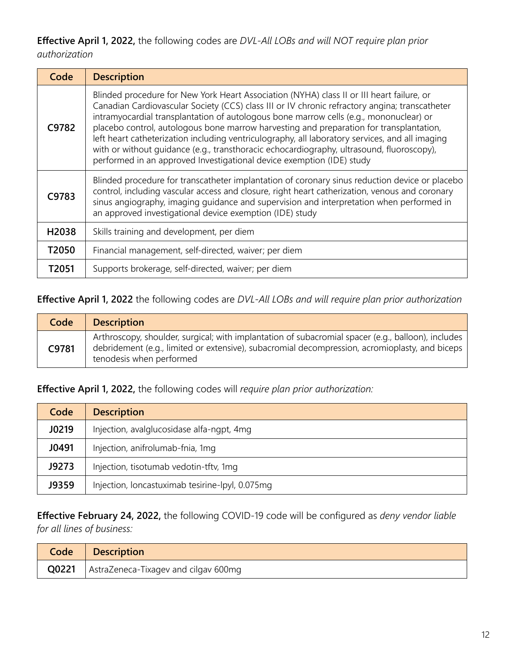**Effective April 1, 2022,** the following codes are *DVL-All LOBs and will NOT require plan prior authorization*

| Code  | <b>Description</b>                                                                                                                                                                                                                                                                                                                                                                                                                                                                                                                                                                                                                                        |  |
|-------|-----------------------------------------------------------------------------------------------------------------------------------------------------------------------------------------------------------------------------------------------------------------------------------------------------------------------------------------------------------------------------------------------------------------------------------------------------------------------------------------------------------------------------------------------------------------------------------------------------------------------------------------------------------|--|
| C9782 | Blinded procedure for New York Heart Association (NYHA) class II or III heart failure, or<br>Canadian Cardiovascular Society (CCS) class III or IV chronic refractory angina; transcatheter<br>intramyocardial transplantation of autologous bone marrow cells (e.g., mononuclear) or<br>placebo control, autologous bone marrow harvesting and preparation for transplantation,<br>left heart catheterization including ventriculography, all laboratory services, and all imaging<br>with or without quidance (e.g., transthoracic echocardiography, ultrasound, fluoroscopy),<br>performed in an approved Investigational device exemption (IDE) study |  |
| C9783 | Blinded procedure for transcatheter implantation of coronary sinus reduction device or placebo<br>control, including vascular access and closure, right heart catherization, venous and coronary<br>sinus angiography, imaging guidance and supervision and interpretation when performed in<br>an approved investigational device exemption (IDE) study                                                                                                                                                                                                                                                                                                  |  |
| H2038 | Skills training and development, per diem                                                                                                                                                                                                                                                                                                                                                                                                                                                                                                                                                                                                                 |  |
| T2050 | Financial management, self-directed, waiver; per diem                                                                                                                                                                                                                                                                                                                                                                                                                                                                                                                                                                                                     |  |
| T2051 | Supports brokerage, self-directed, waiver; per diem                                                                                                                                                                                                                                                                                                                                                                                                                                                                                                                                                                                                       |  |

#### **Effective April 1, 2022** the following codes are *DVL-All LOBs and will require plan prior authorization*

| Code  | <b>Description</b>                                                                                                                                                                                                               |
|-------|----------------------------------------------------------------------------------------------------------------------------------------------------------------------------------------------------------------------------------|
| C9781 | Arthroscopy, shoulder, surgical; with implantation of subacromial spacer (e.g., balloon), includes<br>debridement (e.g., limited or extensive), subacromial decompression, acromioplasty, and biceps<br>tenodesis when performed |

**Effective April 1, 2022,** the following codes will *require plan prior authorization:* 

| Code  | <b>Description</b>                              |
|-------|-------------------------------------------------|
| J0219 | Injection, avalglucosidase alfa-ngpt, 4mg       |
| J0491 | Injection, anifrolumab-fnia, 1mg                |
| J9273 | Injection, tisotumab vedotin-tftv, 1mg          |
| J9359 | Injection, loncastuximab tesirine-lpyl, 0.075mg |

**Effective February 24, 2022,** the following COVID-19 code will be configured as *deny vendor liable for all lines of business:* 

|       | Code   Description                   |
|-------|--------------------------------------|
| Q0221 | AstraZeneca-Tixagev and cilgav 600mg |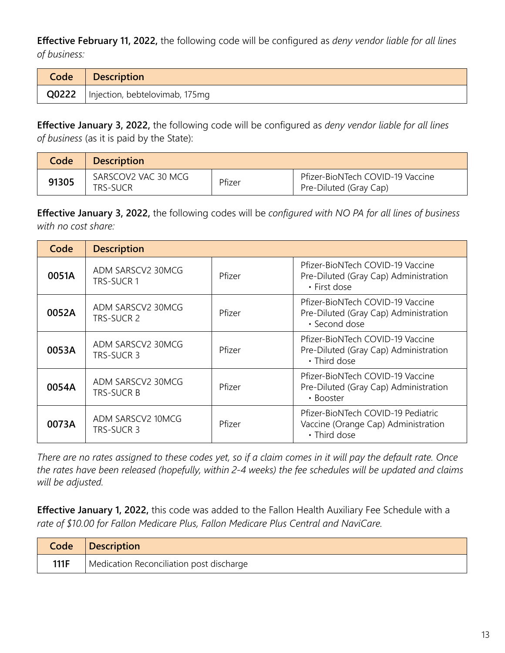**Effective February 11, 2022,** the following code will be configured as *deny vendor liable for all lines of business:* 

| Code   Description                     |
|----------------------------------------|
| Q0222   Injection, bebtelovimab, 175mg |

**Effective January 3, 2022,** the following code will be configured as *deny vendor liable for all lines of business* (as it is paid by the State):

| Code  | <b>Description</b>              |        |                                                            |
|-------|---------------------------------|--------|------------------------------------------------------------|
| 91305 | SARSCOV2 VAC 30 MCG<br>TRS-SUCR | Pfizer | Pfizer-BioNTech COVID-19 Vaccine<br>Pre-Diluted (Gray Cap) |

**Effective January 3, 2022,** the following codes will be *configured with NO PA for all lines of business with no cost share:*

| Code  | <b>Description</b>                     |        |                                                                                            |
|-------|----------------------------------------|--------|--------------------------------------------------------------------------------------------|
| 0051A | ADM SARSCV2 30MCG<br>TRS-SUCR 1        | Pfizer | Pfizer-BioNTech COVID-19 Vaccine<br>Pre-Diluted (Gray Cap) Administration<br>• First dose  |
| 0052A | ADM SARSCV2 30MCG<br>TRS-SUCR 2        | Pfizer | Pfizer-BioNTech COVID-19 Vaccine<br>Pre-Diluted (Gray Cap) Administration<br>· Second dose |
| 0053A | ADM SARSCV2 30MCG<br>TRS-SUCR 3        | Pfizer | Pfizer-BioNTech COVID-19 Vaccine<br>Pre-Diluted (Gray Cap) Administration<br>• Third dose  |
| 0054A | ADM SARSCV2 30MCG<br><b>TRS-SUCR B</b> | Pfizer | Pfizer-BioNTech COVID-19 Vaccine<br>Pre-Diluted (Gray Cap) Administration<br>• Booster     |
| 0073A | ADM SARSCV2 10MCG<br>TRS-SUCR 3        | Pfizer | Pfizer-BioNTech COVID-19 Pediatric<br>Vaccine (Orange Cap) Administration<br>• Third dose  |

*There are no rates assigned to these codes yet, so if a claim comes in it will pay the default rate. Once the rates have been released (hopefully, within 2-4 weeks) the fee schedules will be updated and claims will be adjusted.* 

**Effective January 1, 2022,** this code was added to the Fallon Health Auxiliary Fee Schedule with a *rate of \$10.00 for Fallon Medicare Plus, Fallon Medicare Plus Central and NaviCare.* 

| Code | <b>Description</b>                       |
|------|------------------------------------------|
| 111F | Medication Reconciliation post discharge |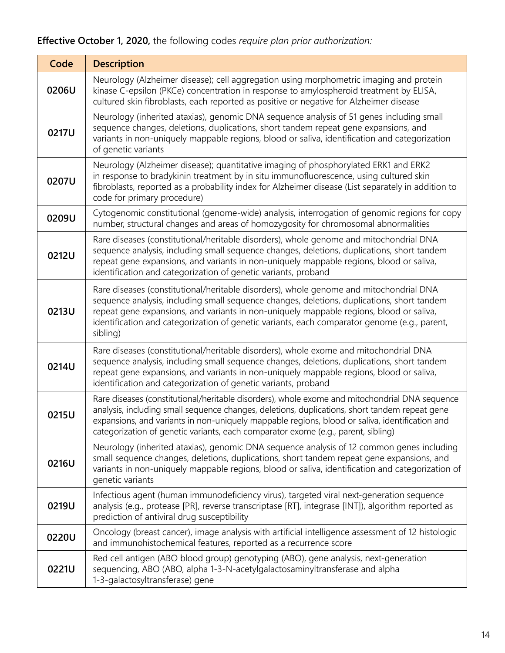#### **Effective October 1, 2020,** the following codes *require plan prior authorization:*

| Code  | <b>Description</b>                                                                                                                                                                                                                                                                                                                                                                          |  |  |
|-------|---------------------------------------------------------------------------------------------------------------------------------------------------------------------------------------------------------------------------------------------------------------------------------------------------------------------------------------------------------------------------------------------|--|--|
| 0206U | Neurology (Alzheimer disease); cell aggregation using morphometric imaging and protein<br>kinase C-epsilon (PKCe) concentration in response to amylospheroid treatment by ELISA,<br>cultured skin fibroblasts, each reported as positive or negative for Alzheimer disease                                                                                                                  |  |  |
| 0217U | Neurology (inherited ataxias), genomic DNA sequence analysis of 51 genes including small<br>sequence changes, deletions, duplications, short tandem repeat gene expansions, and<br>variants in non-uniquely mappable regions, blood or saliva, identification and categorization<br>of genetic variants                                                                                     |  |  |
| 0207U | Neurology (Alzheimer disease); quantitative imaging of phosphorylated ERK1 and ERK2<br>in response to bradykinin treatment by in situ immunofluorescence, using cultured skin<br>fibroblasts, reported as a probability index for Alzheimer disease (List separately in addition to<br>code for primary procedure)                                                                          |  |  |
| 0209U | Cytogenomic constitutional (genome-wide) analysis, interrogation of genomic regions for copy<br>number, structural changes and areas of homozygosity for chromosomal abnormalities                                                                                                                                                                                                          |  |  |
| 0212U | Rare diseases (constitutional/heritable disorders), whole genome and mitochondrial DNA<br>sequence analysis, including small sequence changes, deletions, duplications, short tandem<br>repeat gene expansions, and variants in non-uniquely mappable regions, blood or saliva,<br>identification and categorization of genetic variants, proband                                           |  |  |
| 0213U | Rare diseases (constitutional/heritable disorders), whole genome and mitochondrial DNA<br>sequence analysis, including small sequence changes, deletions, duplications, short tandem<br>repeat gene expansions, and variants in non-uniquely mappable regions, blood or saliva,<br>identification and categorization of genetic variants, each comparator genome (e.g., parent,<br>sibling) |  |  |
| 0214U | Rare diseases (constitutional/heritable disorders), whole exome and mitochondrial DNA<br>sequence analysis, including small sequence changes, deletions, duplications, short tandem<br>repeat gene expansions, and variants in non-uniquely mappable regions, blood or saliva,<br>identification and categorization of genetic variants, proband                                            |  |  |
| 0215U | Rare diseases (constitutional/heritable disorders), whole exome and mitochondrial DNA sequence<br>analysis, including small sequence changes, deletions, duplications, short tandem repeat gene<br>expansions, and variants in non-uniquely mappable regions, blood or saliva, identification and<br>categorization of genetic variants, each comparator exome (e.g., parent, sibling)      |  |  |
| 0216U | Neurology (inherited ataxias), genomic DNA sequence analysis of 12 common genes including<br>small sequence changes, deletions, duplications, short tandem repeat gene expansions, and<br>variants in non-uniquely mappable regions, blood or saliva, identification and categorization of<br>genetic variants                                                                              |  |  |
| 0219U | Infectious agent (human immunodeficiency virus), targeted viral next-generation sequence<br>analysis (e.g., protease [PR], reverse transcriptase [RT], integrase [INT]), algorithm reported as<br>prediction of antiviral drug susceptibility                                                                                                                                               |  |  |
| 0220U | Oncology (breast cancer), image analysis with artificial intelligence assessment of 12 histologic<br>and immunohistochemical features, reported as a recurrence score                                                                                                                                                                                                                       |  |  |
| 0221U | Red cell antigen (ABO blood group) genotyping (ABO), gene analysis, next-generation<br>sequencing, ABO (ABO, alpha 1-3-N-acetylgalactosaminyltransferase and alpha<br>1-3-galactosyltransferase) gene                                                                                                                                                                                       |  |  |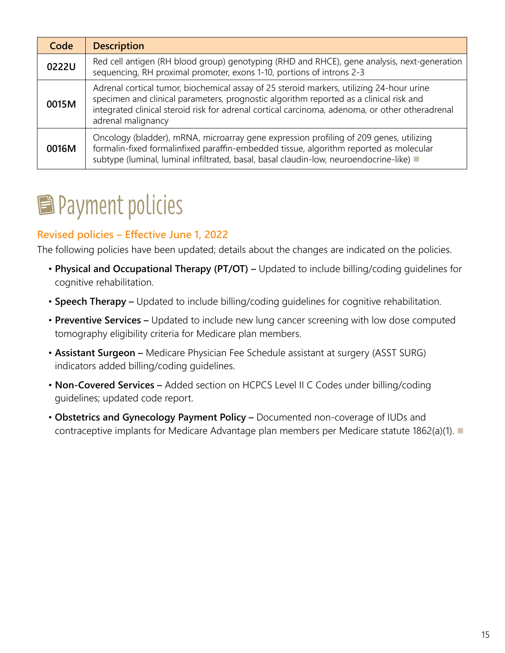<span id="page-14-0"></span>

| Code  | <b>Description</b>                                                                                                                                                                                                                                                                                          |  |  |
|-------|-------------------------------------------------------------------------------------------------------------------------------------------------------------------------------------------------------------------------------------------------------------------------------------------------------------|--|--|
| 0222U | Red cell antigen (RH blood group) genotyping (RHD and RHCE), gene analysis, next-generation<br>sequencing, RH proximal promoter, exons 1-10, portions of introns 2-3                                                                                                                                        |  |  |
| 0015M | Adrenal cortical tumor, biochemical assay of 25 steroid markers, utilizing 24-hour urine<br>specimen and clinical parameters, prognostic algorithm reported as a clinical risk and<br>integrated clinical steroid risk for adrenal cortical carcinoma, adenoma, or other otheradrenal<br>adrenal malignancy |  |  |
| 0016M | Oncology (bladder), mRNA, microarray gene expression profiling of 209 genes, utilizing<br>formalin-fixed formalinfixed paraffin-embedded tissue, algorithm reported as molecular<br>subtype (luminal, luminal infiltrated, basal, basal claudin-low, neuroendocrine-like) =                                 |  |  |

### **E** Payment policies

#### **Revised policies – Effective June 1, 2022**

The following policies have been updated; details about the changes are indicated on the policies.

- **Physical and Occupational Therapy (PT/OT) –** Updated to include billing/coding guidelines for cognitive rehabilitation.
- **Speech Therapy** Updated to include billing/coding guidelines for cognitive rehabilitation.
- **Preventive Services** Updated to include new lung cancer screening with low dose computed tomography eligibility criteria for Medicare plan members.
- **Assistant Surgeon** Medicare Physician Fee Schedule assistant at surgery (ASST SURG) indicators added billing/coding guidelines.
- **Non-Covered Services** Added section on HCPCS Level II C Codes under billing/coding guidelines; updated code report.
- **Obstetrics and Gynecology Payment Policy** Documented non-coverage of IUDs and contraceptive implants for Medicare Advantage plan members per Medicare statute 1862(a)(1).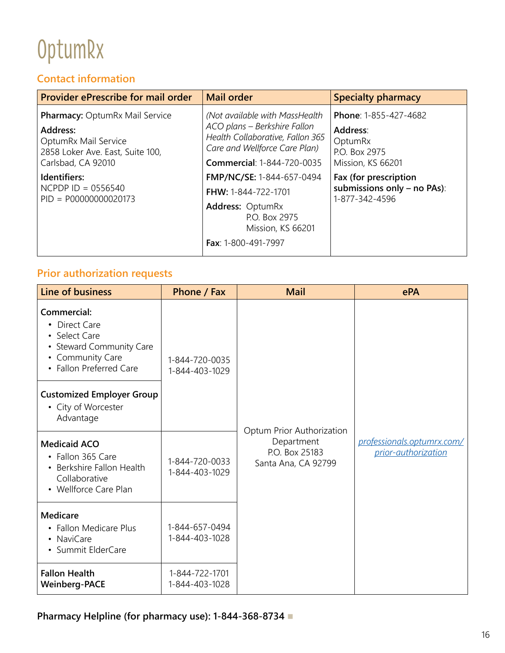### <span id="page-15-0"></span>OptumRx

#### **Contact information**

| <b>Provider ePrescribe for mail order</b>                                                                                           | <b>Mail order</b>                                                                                                                                                        | <b>Specialty pharmacy</b>                                                          |
|-------------------------------------------------------------------------------------------------------------------------------------|--------------------------------------------------------------------------------------------------------------------------------------------------------------------------|------------------------------------------------------------------------------------|
| <b>Pharmacy: OptumRx Mail Service</b><br>Address:<br>OptumRx Mail Service<br>2858 Loker Ave. East, Suite 100,<br>Carlsbad, CA 92010 | (Not available with MassHealth<br>ACO plans - Berkshire Fallon<br>Health Collaborative, Fallon 365<br>Care and Wellforce Care Plan)<br><b>Commercial: 1-844-720-0035</b> | Phone: 1-855-427-4682<br>Address:<br>OptumRx<br>P.O. Box 2975<br>Mission, KS 66201 |
| Identifiers:<br>$NCPDP$ ID = 0556540<br>$PID = PO0000000020173$                                                                     | FMP/NC/SE: 1-844-657-0494<br>FHW: 1-844-722-1701<br>Address: OptumRx<br>P.O. Box 2975<br>Mission, KS 66201<br>Fax: 1-800-491-7997                                        | Fax (for prescription<br>submissions only - no PAs):<br>1-877-342-4596             |

#### **Prior authorization requests**

| Line of business                                                                                                         | Phone / Fax                      | <b>Mail</b>                                         | ePA                                               |
|--------------------------------------------------------------------------------------------------------------------------|----------------------------------|-----------------------------------------------------|---------------------------------------------------|
| Commercial:<br>• Direct Care<br>• Select Care<br>• Steward Community Care<br>• Community Care<br>• Fallon Preferred Care | 1-844-720-0035<br>1-844-403-1029 | Optum Prior Authorization                           |                                                   |
| <b>Customized Employer Group</b><br>• City of Worcester<br>Advantage                                                     |                                  |                                                     |                                                   |
| <b>Medicaid ACO</b><br>• Fallon 365 Care<br>• Berkshire Fallon Health<br>Collaborative<br>• Wellforce Care Plan          | 1-844-720-0033<br>1-844-403-1029 | Department<br>P.O. Box 25183<br>Santa Ana, CA 92799 | professionals.optumrx.com/<br>prior-authorization |
| <b>Medicare</b><br>• Fallon Medicare Plus<br>• NaviCare<br>• Summit ElderCare                                            | 1-844-657-0494<br>1-844-403-1028 |                                                     |                                                   |
| <b>Fallon Health</b><br><b>Weinberg-PACE</b>                                                                             | 1-844-722-1701<br>1-844-403-1028 |                                                     |                                                   |

**Pharmacy Helpline (for pharmacy use): 1-844-368-8734** n